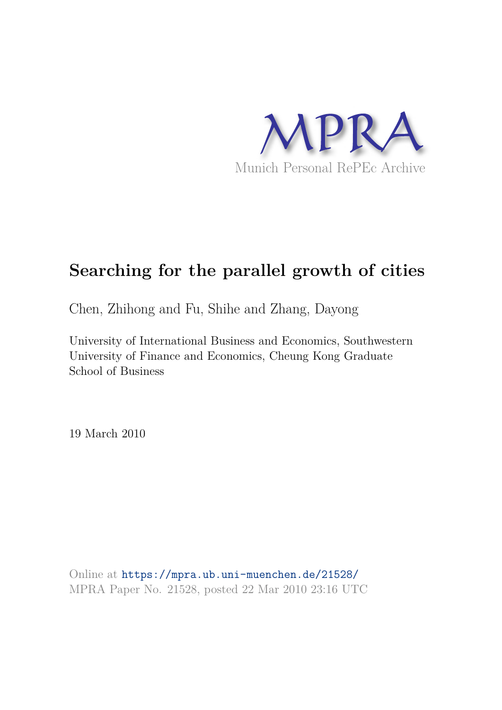

# **Searching for the parallel growth of cities**

Chen, Zhihong and Fu, Shihe and Zhang, Dayong

University of International Business and Economics, Southwestern University of Finance and Economics, Cheung Kong Graduate School of Business

19 March 2010

Online at https://mpra.ub.uni-muenchen.de/21528/ MPRA Paper No. 21528, posted 22 Mar 2010 23:16 UTC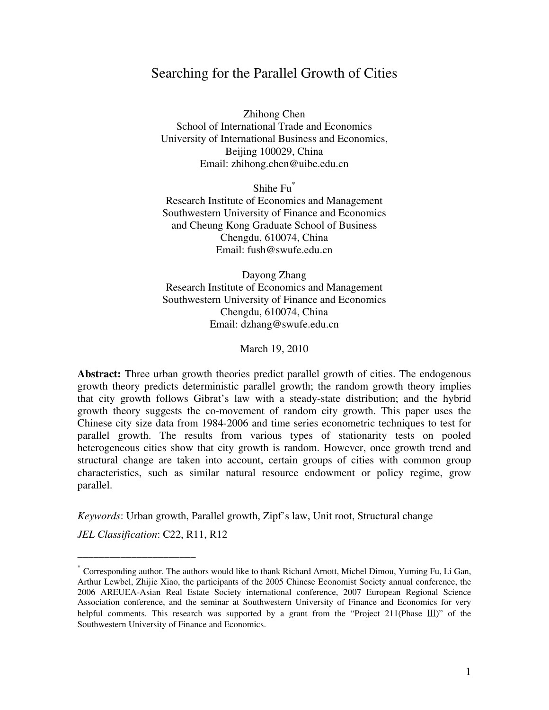## Searching for the Parallel Growth of Cities

Zhihong Chen School of International Trade and Economics University of International Business and Economics, Beijing 100029, China Email: zhihong.chen@uibe.edu.cn

Shihe Fu\*

Research Institute of Economics and Management Southwestern University of Finance and Economics and Cheung Kong Graduate School of Business Chengdu, 610074, China Email: fush@swufe.edu.cn

Dayong Zhang Research Institute of Economics and Management Southwestern University of Finance and Economics Chengdu, 610074, China Email: dzhang@swufe.edu.cn

March 19, 2010

**Abstract:** Three urban growth theories predict parallel growth of cities. The endogenous growth theory predicts deterministic parallel growth; the random growth theory implies that city growth follows Gibrat's law with a steady-state distribution; and the hybrid growth theory suggests the co-movement of random city growth. This paper uses the Chinese city size data from 1984-2006 and time series econometric techniques to test for parallel growth. The results from various types of stationarity tests on pooled heterogeneous cities show that city growth is random. However, once growth trend and structural change are taken into account, certain groups of cities with common group characteristics, such as similar natural resource endowment or policy regime, grow parallel.

*Keywords*: Urban growth, Parallel growth, Zipf's law, Unit root, Structural change

*JEL Classification*: C22, R11, R12

\_\_\_\_\_\_\_\_\_\_\_\_\_\_\_\_\_\_\_\_\_\_

<sup>\*</sup> Corresponding author. The authors would like to thank Richard Arnott, Michel Dimou, Yuming Fu, Li Gan, Arthur Lewbel, Zhijie Xiao, the participants of the 2005 Chinese Economist Society annual conference, the 2006 AREUEA-Asian Real Estate Society international conference, 2007 European Regional Science Association conference, and the seminar at Southwestern University of Finance and Economics for very helpful comments. This research was supported by a grant from the "Project 211(Phase Ⅲ)" of the Southwestern University of Finance and Economics.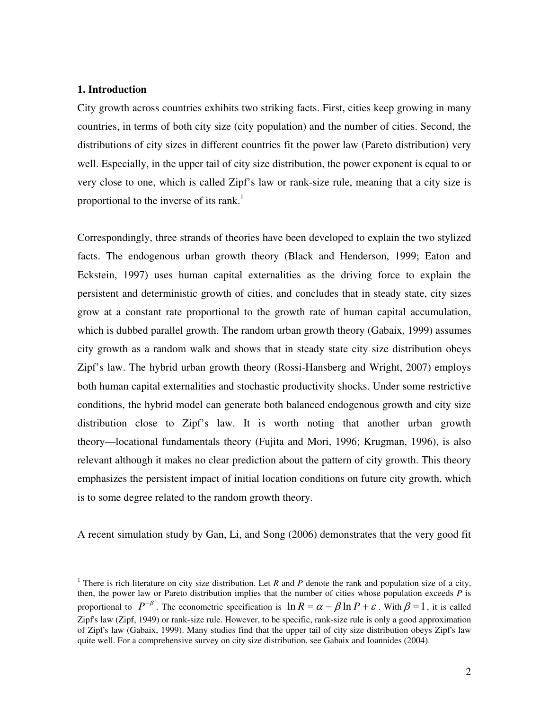#### **1. Introduction**

 $\overline{a}$ 

City growth across countries exhibits two striking facts. First, cities keep growing in many countries, in terms of both city size (city population) and the number of cities. Second, the distributions of city sizes in different countries fit the power law (Pareto distribution) very well. Especially, in the upper tail of city size distribution, the power exponent is equal to or very close to one, which is called Zipf's law or rank-size rule, meaning that a city size is proportional to the inverse of its rank.<sup>1</sup>

Correspondingly, three strands of theories have been developed to explain the two stylized facts. The endogenous urban growth theory (Black and Henderson, 1999; Eaton and Eckstein, 1997) uses human capital externalities as the driving force to explain the persistent and deterministic growth of cities, and concludes that in steady state, city sizes grow at a constant rate proportional to the growth rate of human capital accumulation, which is dubbed parallel growth. The random urban growth theory (Gabaix, 1999) assumes city growth as a random walk and shows that in steady state city size distribution obeys Zipf's law. The hybrid urban growth theory (Rossi-Hansberg and Wright, 2007) employs both human capital externalities and stochastic productivity shocks. Under some restrictive conditions, the hybrid model can generate both balanced endogenous growth and city size distribution close to Zipf's law. It is worth noting that another urban growth theory—locational fundamentals theory (Fujita and Mori, 1996; Krugman, 1996), is also relevant although it makes no clear prediction about the pattern of city growth. This theory emphasizes the persistent impact of initial location conditions on future city growth, which is to some degree related to the random growth theory.

A recent simulation study by Gan, Li, and Song (2006) demonstrates that the very good fit

<sup>&</sup>lt;sup>1</sup> There is rich literature on city size distribution. Let *R* and *P* denote the rank and population size of a city, then, the power law or Pareto distribution implies that the number of cities whose population exceeds *P* is proportional to  $P^{-\beta}$ . The econometric specification is  $\ln R = \alpha - \beta \ln P + \varepsilon$ . With  $\beta = 1$ , it is called Zipf's law (Zipf, 1949) or rank-size rule. However, to be specific, rank-size rule is only a good approximation of Zipf's law (Gabaix, 1999). Many studies find that the upper tail of city size distribution obeys Zipf's law quite well. For a comprehensive survey on city size distribution, see Gabaix and Ioannides (2004).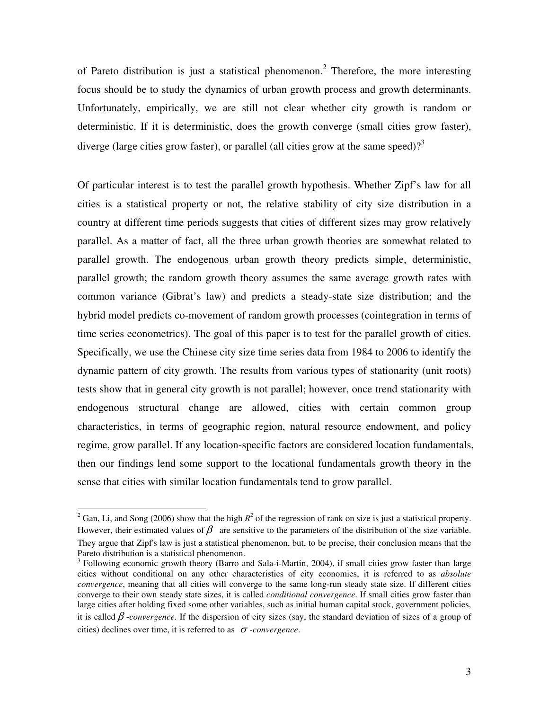of Pareto distribution is just a statistical phenomenon.<sup>2</sup> Therefore, the more interesting focus should be to study the dynamics of urban growth process and growth determinants. Unfortunately, empirically, we are still not clear whether city growth is random or deterministic. If it is deterministic, does the growth converge (small cities grow faster), diverge (large cities grow faster), or parallel (all cities grow at the same speed)?<sup>3</sup>

Of particular interest is to test the parallel growth hypothesis. Whether Zipf's law for all cities is a statistical property or not, the relative stability of city size distribution in a country at different time periods suggests that cities of different sizes may grow relatively parallel. As a matter of fact, all the three urban growth theories are somewhat related to parallel growth. The endogenous urban growth theory predicts simple, deterministic, parallel growth; the random growth theory assumes the same average growth rates with common variance (Gibrat's law) and predicts a steady-state size distribution; and the hybrid model predicts co-movement of random growth processes (cointegration in terms of time series econometrics). The goal of this paper is to test for the parallel growth of cities. Specifically, we use the Chinese city size time series data from 1984 to 2006 to identify the dynamic pattern of city growth. The results from various types of stationarity (unit roots) tests show that in general city growth is not parallel; however, once trend stationarity with endogenous structural change are allowed, cities with certain common group characteristics, in terms of geographic region, natural resource endowment, and policy regime, grow parallel. If any location-specific factors are considered location fundamentals, then our findings lend some support to the locational fundamentals growth theory in the sense that cities with similar location fundamentals tend to grow parallel.

<sup>&</sup>lt;sup>2</sup> Gan, Li, and Song (2006) show that the high  $R^2$  of the regression of rank on size is just a statistical property. However, their estimated values of  $\beta$  are sensitive to the parameters of the distribution of the size variable. They argue that Zipf's law is just a statistical phenomenon, but, to be precise, their conclusion means that the Pareto distribution is a statistical phenomenon.

<sup>&</sup>lt;sup>3</sup> Following economic growth theory (Barro and Sala-i-Martin, 2004), if small cities grow faster than large cities without conditional on any other characteristics of city economies, it is referred to as *absolute convergence*, meaning that all cities will converge to the same long-run steady state size. If different cities converge to their own steady state sizes, it is called *conditional convergence*. If small cities grow faster than large cities after holding fixed some other variables, such as initial human capital stock, government policies, it is called β -*convergence*. If the dispersion of city sizes (say, the standard deviation of sizes of a group of cities) declines over time, it is referred to as <sup>σ</sup> -*convergence*.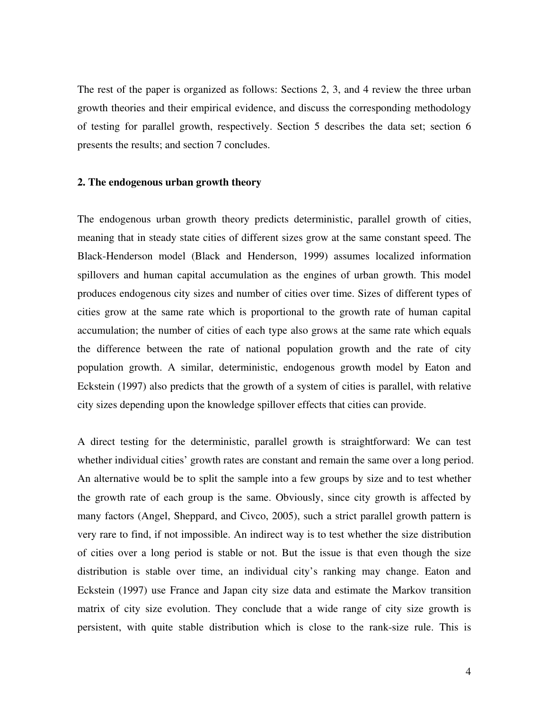The rest of the paper is organized as follows: Sections 2, 3, and 4 review the three urban growth theories and their empirical evidence, and discuss the corresponding methodology of testing for parallel growth, respectively. Section 5 describes the data set; section 6 presents the results; and section 7 concludes.

#### **2. The endogenous urban growth theory**

The endogenous urban growth theory predicts deterministic, parallel growth of cities, meaning that in steady state cities of different sizes grow at the same constant speed. The Black-Henderson model (Black and Henderson, 1999) assumes localized information spillovers and human capital accumulation as the engines of urban growth. This model produces endogenous city sizes and number of cities over time. Sizes of different types of cities grow at the same rate which is proportional to the growth rate of human capital accumulation; the number of cities of each type also grows at the same rate which equals the difference between the rate of national population growth and the rate of city population growth. A similar, deterministic, endogenous growth model by Eaton and Eckstein (1997) also predicts that the growth of a system of cities is parallel, with relative city sizes depending upon the knowledge spillover effects that cities can provide.

A direct testing for the deterministic, parallel growth is straightforward: We can test whether individual cities' growth rates are constant and remain the same over a long period. An alternative would be to split the sample into a few groups by size and to test whether the growth rate of each group is the same. Obviously, since city growth is affected by many factors (Angel, Sheppard, and Civco, 2005), such a strict parallel growth pattern is very rare to find, if not impossible. An indirect way is to test whether the size distribution of cities over a long period is stable or not. But the issue is that even though the size distribution is stable over time, an individual city's ranking may change. Eaton and Eckstein (1997) use France and Japan city size data and estimate the Markov transition matrix of city size evolution. They conclude that a wide range of city size growth is persistent, with quite stable distribution which is close to the rank-size rule. This is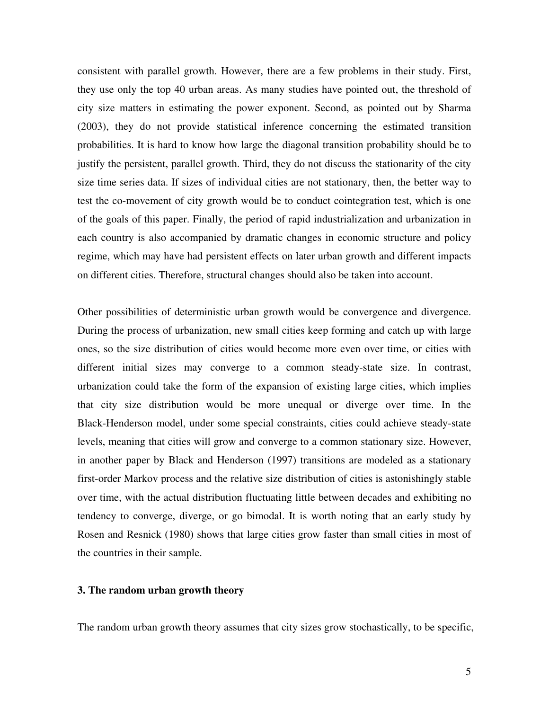consistent with parallel growth. However, there are a few problems in their study. First, they use only the top 40 urban areas. As many studies have pointed out, the threshold of city size matters in estimating the power exponent. Second, as pointed out by Sharma (2003), they do not provide statistical inference concerning the estimated transition probabilities. It is hard to know how large the diagonal transition probability should be to justify the persistent, parallel growth. Third, they do not discuss the stationarity of the city size time series data. If sizes of individual cities are not stationary, then, the better way to test the co-movement of city growth would be to conduct cointegration test, which is one of the goals of this paper. Finally, the period of rapid industrialization and urbanization in each country is also accompanied by dramatic changes in economic structure and policy regime, which may have had persistent effects on later urban growth and different impacts on different cities. Therefore, structural changes should also be taken into account.

Other possibilities of deterministic urban growth would be convergence and divergence. During the process of urbanization, new small cities keep forming and catch up with large ones, so the size distribution of cities would become more even over time, or cities with different initial sizes may converge to a common steady-state size. In contrast, urbanization could take the form of the expansion of existing large cities, which implies that city size distribution would be more unequal or diverge over time. In the Black-Henderson model, under some special constraints, cities could achieve steady-state levels, meaning that cities will grow and converge to a common stationary size. However, in another paper by Black and Henderson (1997) transitions are modeled as a stationary first-order Markov process and the relative size distribution of cities is astonishingly stable over time, with the actual distribution fluctuating little between decades and exhibiting no tendency to converge, diverge, or go bimodal. It is worth noting that an early study by Rosen and Resnick (1980) shows that large cities grow faster than small cities in most of the countries in their sample.

#### **3. The random urban growth theory**

The random urban growth theory assumes that city sizes grow stochastically, to be specific,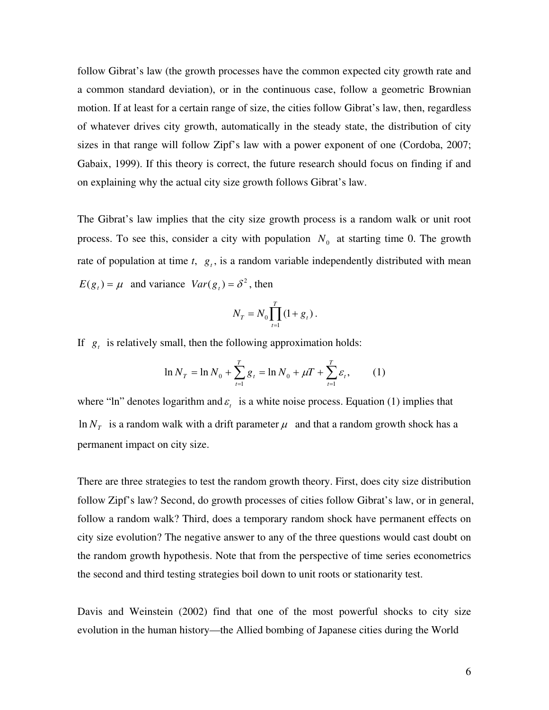follow Gibrat's law (the growth processes have the common expected city growth rate and a common standard deviation), or in the continuous case, follow a geometric Brownian motion. If at least for a certain range of size, the cities follow Gibrat's law, then, regardless of whatever drives city growth, automatically in the steady state, the distribution of city sizes in that range will follow Zipf's law with a power exponent of one (Cordoba, 2007; Gabaix, 1999). If this theory is correct, the future research should focus on finding if and on explaining why the actual city size growth follows Gibrat's law.

The Gibrat's law implies that the city size growth process is a random walk or unit root process. To see this, consider a city with population  $N_0$  at starting time 0. The growth rate of population at time  $t$ ,  $g_t$ , is a random variable independently distributed with mean  $E(g_t) = \mu$  and variance  $Var(g_t) = \delta^2$ , then

$$
N_T = N_0 \prod_{t=1}^T (1 + g_t).
$$

If  $g_t$  is relatively small, then the following approximation holds:

$$
\ln N_T = \ln N_0 + \sum_{t=1}^T g_t = \ln N_0 + \mu T + \sum_{t=1}^T \varepsilon_t, \qquad (1)
$$

where "ln" denotes logarithm and  $\varepsilon$ <sub>t</sub> is a white noise process. Equation (1) implies that  $\ln N<sub>T</sub>$  is a random walk with a drift parameter  $\mu$  and that a random growth shock has a permanent impact on city size.

There are three strategies to test the random growth theory. First, does city size distribution follow Zipf's law? Second, do growth processes of cities follow Gibrat's law, or in general, follow a random walk? Third, does a temporary random shock have permanent effects on city size evolution? The negative answer to any of the three questions would cast doubt on the random growth hypothesis. Note that from the perspective of time series econometrics the second and third testing strategies boil down to unit roots or stationarity test.

Davis and Weinstein (2002) find that one of the most powerful shocks to city size evolution in the human history—the Allied bombing of Japanese cities during the World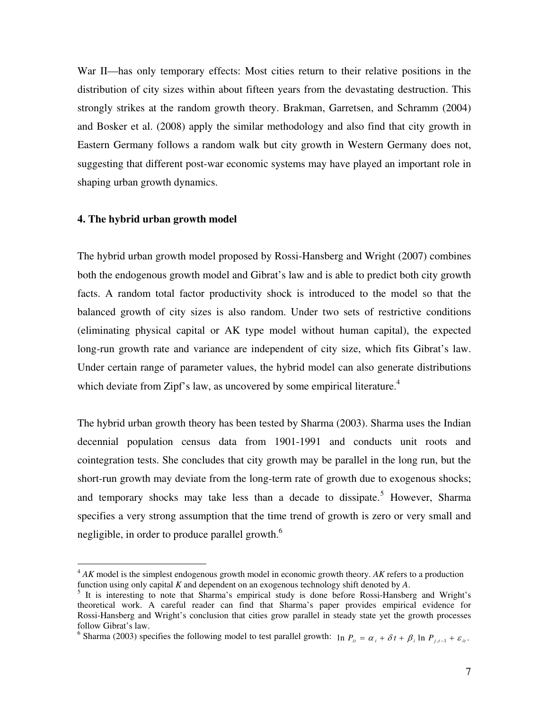War II—has only temporary effects: Most cities return to their relative positions in the distribution of city sizes within about fifteen years from the devastating destruction. This strongly strikes at the random growth theory. Brakman, Garretsen, and Schramm (2004) and Bosker et al. (2008) apply the similar methodology and also find that city growth in Eastern Germany follows a random walk but city growth in Western Germany does not, suggesting that different post-war economic systems may have played an important role in shaping urban growth dynamics.

#### **4. The hybrid urban growth model**

 $\overline{a}$ 

The hybrid urban growth model proposed by Rossi-Hansberg and Wright (2007) combines both the endogenous growth model and Gibrat's law and is able to predict both city growth facts. A random total factor productivity shock is introduced to the model so that the balanced growth of city sizes is also random. Under two sets of restrictive conditions (eliminating physical capital or AK type model without human capital), the expected long-run growth rate and variance are independent of city size, which fits Gibrat's law. Under certain range of parameter values, the hybrid model can also generate distributions which deviate from Zipf's law, as uncovered by some empirical literature.<sup>4</sup>

The hybrid urban growth theory has been tested by Sharma (2003). Sharma uses the Indian decennial population census data from 1901-1991 and conducts unit roots and cointegration tests. She concludes that city growth may be parallel in the long run, but the short-run growth may deviate from the long-term rate of growth due to exogenous shocks; and temporary shocks may take less than a decade to dissipate.<sup>5</sup> However, Sharma specifies a very strong assumption that the time trend of growth is zero or very small and negligible, in order to produce parallel growth.<sup>6</sup>

<sup>4</sup> *AK* model is the simplest endogenous growth model in economic growth theory. *AK* refers to a production function using only capital *K* and dependent on an exogenous technology shift denoted by *A*.

<sup>5</sup> It is interesting to note that Sharma's empirical study is done before Rossi-Hansberg and Wright's theoretical work. A careful reader can find that Sharma's paper provides empirical evidence for Rossi-Hansberg and Wright's conclusion that cities grow parallel in steady state yet the growth processes follow Gibrat's law.

<sup>&</sup>lt;sup>6</sup> Sharma (2003) specifies the following model to test parallel growth:  $\ln P_{it} = \alpha_i + \delta t + \beta_i \ln P_{i,i-1} + \varepsilon_{it}$ .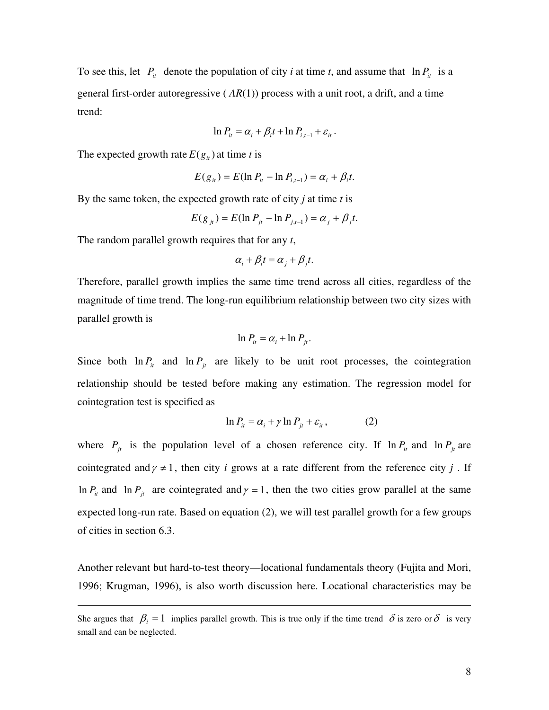To see this, let  $P_i$  denote the population of city *i* at time *t*, and assume that  $\ln P_i$  is a general first-order autoregressive ( *AR*(1)) process with a unit root, a drift, and a time trend:

$$
\ln P_{it} = \alpha_i + \beta_i t + \ln P_{i,t-1} + \varepsilon_{it}.
$$

The expected growth rate  $E(g_i)$  at time *t* is

$$
E(g_{it}) = E(\ln P_{it} - \ln P_{i,t-1}) = \alpha_i + \beta_i t.
$$

By the same token, the expected growth rate of city *j* at time *t* is

$$
E(g_{jt}) = E(\ln P_{jt} - \ln P_{j,t-1}) = \alpha_j + \beta_j t.
$$

The random parallel growth requires that for any *t*,

 $\overline{a}$ 

$$
\alpha_i + \beta_i t = \alpha_j + \beta_j t.
$$

Therefore, parallel growth implies the same time trend across all cities, regardless of the magnitude of time trend. The long-run equilibrium relationship between two city sizes with parallel growth is

$$
\ln P_{it} = \alpha_i + \ln P_{it}.
$$

Since both  $\ln P_i$  and  $\ln P_j$  are likely to be unit root processes, the cointegration relationship should be tested before making any estimation. The regression model for cointegration test is specified as

$$
\ln P_{it} = \alpha_i + \gamma \ln P_{jt} + \varepsilon_{it}, \qquad (2)
$$

where  $P_{jt}$  is the population level of a chosen reference city. If  $\ln P_{it}$  and  $\ln P_{jt}$  are cointegrated and  $\gamma \neq 1$ , then city *i* grows at a rate different from the reference city *j*. If  $\ln P_i$  and  $\ln P_j$  are cointegrated and  $\gamma = 1$ , then the two cities grow parallel at the same expected long-run rate. Based on equation (2), we will test parallel growth for a few groups of cities in section 6.3.

Another relevant but hard-to-test theory—locational fundamentals theory (Fujita and Mori, 1996; Krugman, 1996), is also worth discussion here. Locational characteristics may be

She argues that  $\beta_i = 1$  implies parallel growth. This is true only if the time trend  $\delta$  is zero or  $\delta$  is very small and can be neglected.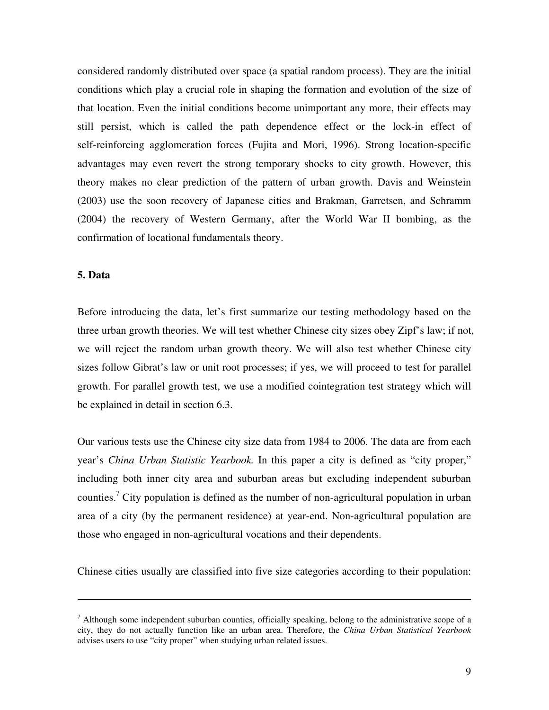considered randomly distributed over space (a spatial random process). They are the initial conditions which play a crucial role in shaping the formation and evolution of the size of that location. Even the initial conditions become unimportant any more, their effects may still persist, which is called the path dependence effect or the lock-in effect of self-reinforcing agglomeration forces (Fujita and Mori, 1996). Strong location-specific advantages may even revert the strong temporary shocks to city growth. However, this theory makes no clear prediction of the pattern of urban growth. Davis and Weinstein (2003) use the soon recovery of Japanese cities and Brakman, Garretsen, and Schramm (2004) the recovery of Western Germany, after the World War II bombing, as the confirmation of locational fundamentals theory.

#### **5. Data**

 $\overline{a}$ 

Before introducing the data, let's first summarize our testing methodology based on the three urban growth theories. We will test whether Chinese city sizes obey Zipf's law; if not, we will reject the random urban growth theory. We will also test whether Chinese city sizes follow Gibrat's law or unit root processes; if yes, we will proceed to test for parallel growth. For parallel growth test, we use a modified cointegration test strategy which will be explained in detail in section 6.3.

Our various tests use the Chinese city size data from 1984 to 2006. The data are from each year's *China Urban Statistic Yearbook.* In this paper a city is defined as "city proper," including both inner city area and suburban areas but excluding independent suburban counties.<sup>7</sup> City population is defined as the number of non-agricultural population in urban area of a city (by the permanent residence) at year-end. Non-agricultural population are those who engaged in non-agricultural vocations and their dependents.

Chinese cities usually are classified into five size categories according to their population:

<sup>&</sup>lt;sup>7</sup> Although some independent suburban counties, officially speaking, belong to the administrative scope of a city, they do not actually function like an urban area. Therefore, the *China Urban Statistical Yearbook* advises users to use "city proper" when studying urban related issues.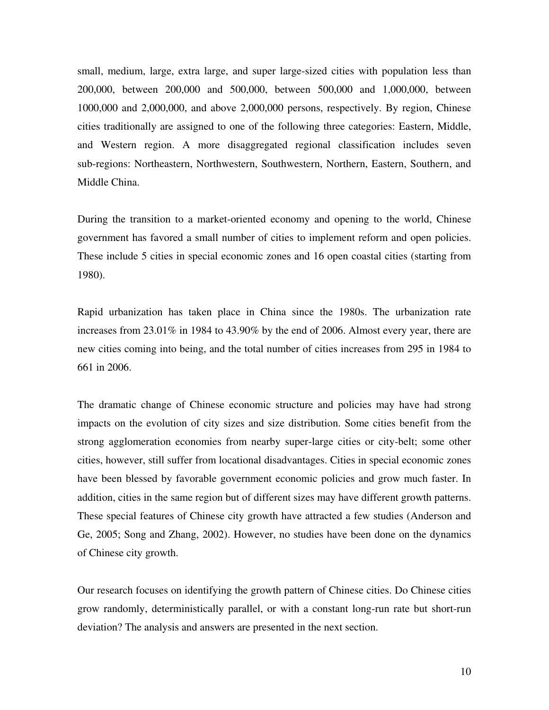small, medium, large, extra large, and super large-sized cities with population less than 200,000, between 200,000 and 500,000, between 500,000 and 1,000,000, between 1000,000 and 2,000,000, and above 2,000,000 persons, respectively. By region, Chinese cities traditionally are assigned to one of the following three categories: Eastern, Middle, and Western region. A more disaggregated regional classification includes seven sub-regions: Northeastern, Northwestern, Southwestern, Northern, Eastern, Southern, and Middle China.

During the transition to a market-oriented economy and opening to the world, Chinese government has favored a small number of cities to implement reform and open policies. These include 5 cities in special economic zones and 16 open coastal cities (starting from 1980).

Rapid urbanization has taken place in China since the 1980s. The urbanization rate increases from 23.01% in 1984 to 43.90% by the end of 2006. Almost every year, there are new cities coming into being, and the total number of cities increases from 295 in 1984 to 661 in 2006.

The dramatic change of Chinese economic structure and policies may have had strong impacts on the evolution of city sizes and size distribution. Some cities benefit from the strong agglomeration economies from nearby super-large cities or city-belt; some other cities, however, still suffer from locational disadvantages. Cities in special economic zones have been blessed by favorable government economic policies and grow much faster. In addition, cities in the same region but of different sizes may have different growth patterns. These special features of Chinese city growth have attracted a few studies (Anderson and Ge, 2005; Song and Zhang, 2002). However, no studies have been done on the dynamics of Chinese city growth.

Our research focuses on identifying the growth pattern of Chinese cities. Do Chinese cities grow randomly, deterministically parallel, or with a constant long-run rate but short-run deviation? The analysis and answers are presented in the next section.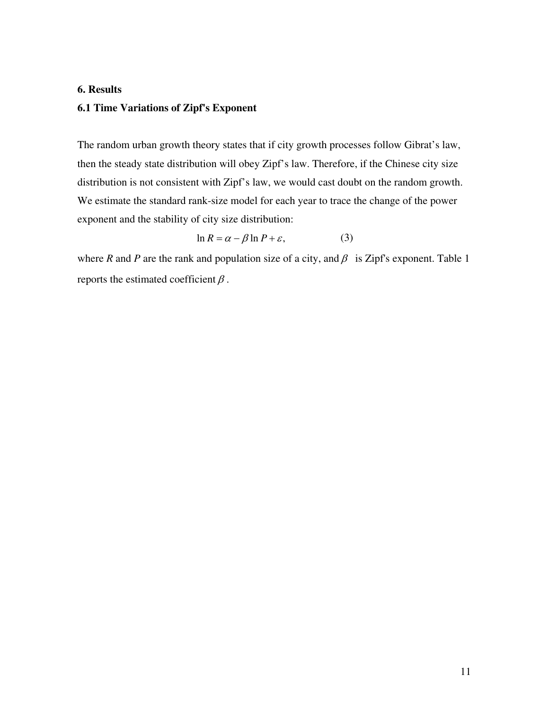#### **6. Results**

#### **6.1 Time Variations of Zipf's Exponent**

The random urban growth theory states that if city growth processes follow Gibrat's law, then the steady state distribution will obey Zipf's law. Therefore, if the Chinese city size distribution is not consistent with Zipf's law, we would cast doubt on the random growth. We estimate the standard rank-size model for each year to trace the change of the power exponent and the stability of city size distribution:

$$
\ln R = \alpha - \beta \ln P + \varepsilon,\tag{3}
$$

where *R* and *P* are the rank and population size of a city, and  $\beta$  is Zipf's exponent. Table 1 reports the estimated coefficient  $\beta$ .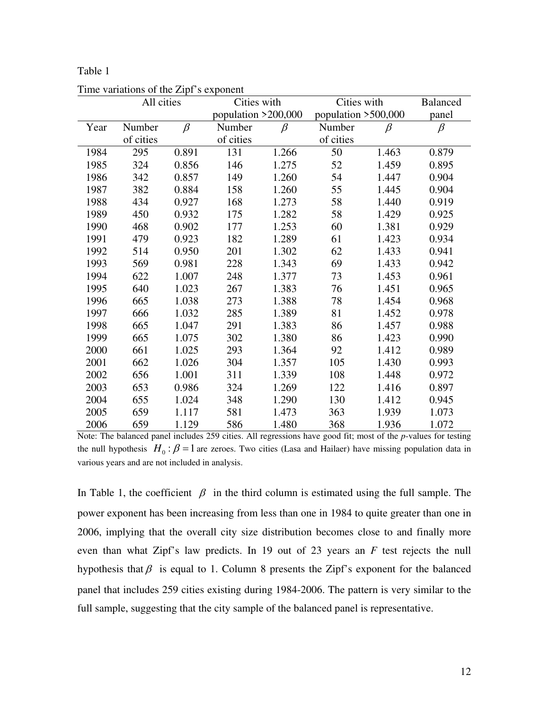#### Table 1

|      | All cities |         | Cities with           |         | Cities with         |         | <b>Balanced</b> |
|------|------------|---------|-----------------------|---------|---------------------|---------|-----------------|
|      |            |         | population $>200,000$ |         | population >500,000 |         | panel           |
| Year | Number     | $\beta$ | Number                | $\beta$ | Number              | $\beta$ | $\beta$         |
|      | of cities  |         | of cities             |         | of cities           |         |                 |
| 1984 | 295        | 0.891   | 131                   | 1.266   | 50                  | 1.463   | 0.879           |
| 1985 | 324        | 0.856   | 146                   | 1.275   | 52                  | 1.459   | 0.895           |
| 1986 | 342        | 0.857   | 149                   | 1.260   | 54                  | 1.447   | 0.904           |
| 1987 | 382        | 0.884   | 158                   | 1.260   | 55                  | 1.445   | 0.904           |
| 1988 | 434        | 0.927   | 168                   | 1.273   | 58                  | 1.440   | 0.919           |
| 1989 | 450        | 0.932   | 175                   | 1.282   | 58                  | 1.429   | 0.925           |
| 1990 | 468        | 0.902   | 177                   | 1.253   | 60                  | 1.381   | 0.929           |
| 1991 | 479        | 0.923   | 182                   | 1.289   | 61                  | 1.423   | 0.934           |
| 1992 | 514        | 0.950   | 201                   | 1.302   | 62                  | 1.433   | 0.941           |
| 1993 | 569        | 0.981   | 228                   | 1.343   | 69                  | 1.433   | 0.942           |
| 1994 | 622        | 1.007   | 248                   | 1.377   | 73                  | 1.453   | 0.961           |
| 1995 | 640        | 1.023   | 267                   | 1.383   | 76                  | 1.451   | 0.965           |
| 1996 | 665        | 1.038   | 273                   | 1.388   | 78                  | 1.454   | 0.968           |
| 1997 | 666        | 1.032   | 285                   | 1.389   | 81                  | 1.452   | 0.978           |
| 1998 | 665        | 1.047   | 291                   | 1.383   | 86                  | 1.457   | 0.988           |
| 1999 | 665        | 1.075   | 302                   | 1.380   | 86                  | 1.423   | 0.990           |
| 2000 | 661        | 1.025   | 293                   | 1.364   | 92                  | 1.412   | 0.989           |
| 2001 | 662        | 1.026   | 304                   | 1.357   | 105                 | 1.430   | 0.993           |
| 2002 | 656        | 1.001   | 311                   | 1.339   | 108                 | 1.448   | 0.972           |
| 2003 | 653        | 0.986   | 324                   | 1.269   | 122                 | 1.416   | 0.897           |
| 2004 | 655        | 1.024   | 348                   | 1.290   | 130                 | 1.412   | 0.945           |
| 2005 | 659        | 1.117   | 581                   | 1.473   | 363                 | 1.939   | 1.073           |
| 2006 | 659        | 1.129   | 586                   | 1.480   | 368                 | 1.936   | 1.072           |

Time variations of the Zipf's exponent

Note: The balanced panel includes 259 cities. All regressions have good fit; most of the *p*-values for testing the null hypothesis  $H_0$ :  $\beta = 1$  are zeroes. Two cities (Lasa and Hailaer) have missing population data in various years and are not included in analysis.

In Table 1, the coefficient  $\beta$  in the third column is estimated using the full sample. The power exponent has been increasing from less than one in 1984 to quite greater than one in 2006, implying that the overall city size distribution becomes close to and finally more even than what Zipf's law predicts. In 19 out of 23 years an *F* test rejects the null hypothesis that  $\beta$  is equal to 1. Column 8 presents the Zipf's exponent for the balanced panel that includes 259 cities existing during 1984-2006. The pattern is very similar to the full sample, suggesting that the city sample of the balanced panel is representative.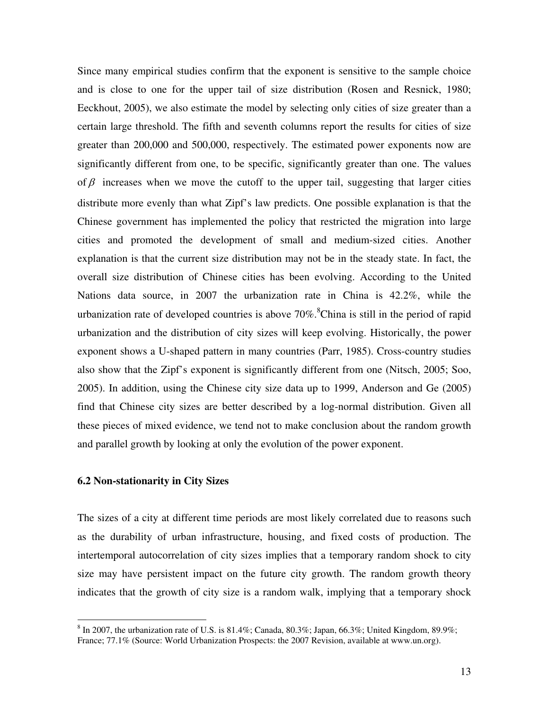Since many empirical studies confirm that the exponent is sensitive to the sample choice and is close to one for the upper tail of size distribution (Rosen and Resnick, 1980; Eeckhout, 2005), we also estimate the model by selecting only cities of size greater than a certain large threshold. The fifth and seventh columns report the results for cities of size greater than 200,000 and 500,000, respectively. The estimated power exponents now are significantly different from one, to be specific, significantly greater than one. The values of  $\beta$  increases when we move the cutoff to the upper tail, suggesting that larger cities distribute more evenly than what Zipf's law predicts. One possible explanation is that the Chinese government has implemented the policy that restricted the migration into large cities and promoted the development of small and medium-sized cities. Another explanation is that the current size distribution may not be in the steady state. In fact, the overall size distribution of Chinese cities has been evolving. According to the United Nations data source, in 2007 the urbanization rate in China is 42.2%, while the urbanization rate of developed countries is above  $70\%$ .<sup>8</sup>China is still in the period of rapid urbanization and the distribution of city sizes will keep evolving. Historically, the power exponent shows a U-shaped pattern in many countries (Parr, 1985). Cross-country studies also show that the Zipf's exponent is significantly different from one (Nitsch, 2005; Soo, 2005). In addition, using the Chinese city size data up to 1999, Anderson and Ge (2005) find that Chinese city sizes are better described by a log-normal distribution. Given all these pieces of mixed evidence, we tend not to make conclusion about the random growth and parallel growth by looking at only the evolution of the power exponent.

#### **6.2 Non-stationarity in City Sizes**

 $\overline{a}$ 

The sizes of a city at different time periods are most likely correlated due to reasons such as the durability of urban infrastructure, housing, and fixed costs of production. The intertemporal autocorrelation of city sizes implies that a temporary random shock to city size may have persistent impact on the future city growth. The random growth theory indicates that the growth of city size is a random walk, implying that a temporary shock

 $8 \text{ In } 2007$ , the urbanization rate of U.S. is 81.4%; Canada, 80.3%; Japan, 66.3%; United Kingdom, 89.9%; France; 77.1% (Source: World Urbanization Prospects: the 2007 Revision, available at www.un.org).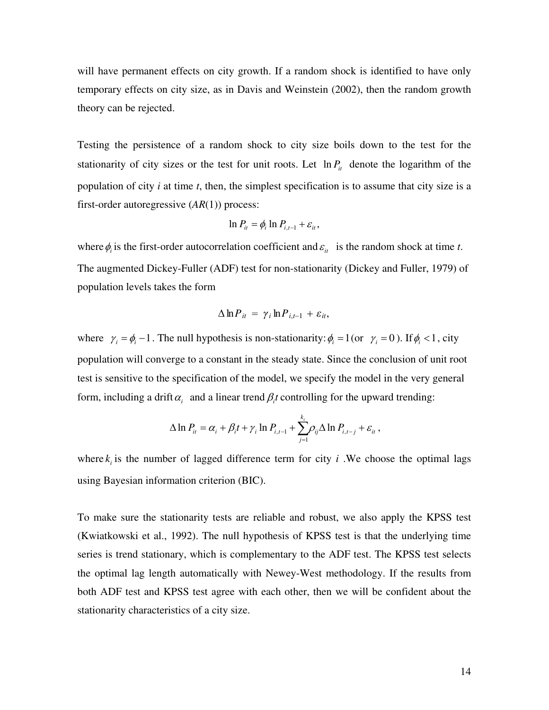will have permanent effects on city growth. If a random shock is identified to have only temporary effects on city size, as in Davis and Weinstein (2002), then the random growth theory can be rejected.

Testing the persistence of a random shock to city size boils down to the test for the stationarity of city sizes or the test for unit roots. Let  $\ln P_i$  denote the logarithm of the population of city *i* at time *t*, then, the simplest specification is to assume that city size is a first-order autoregressive (*AR*(1)) process:

$$
\ln P_{it} = \phi_i \ln P_{i,t-1} + \varepsilon_{it},
$$

where  $\phi_i$  is the first-order autocorrelation coefficient and  $\varepsilon_{it}$  is the random shock at time *t*. The augmented Dickey-Fuller (ADF) test for non-stationarity (Dickey and Fuller, 1979) of population levels takes the form

$$
\Delta \ln P_{it} = \gamma_i \ln P_{i,t-1} + \varepsilon_{it},
$$

where  $\gamma_i = \phi_i - 1$ . The null hypothesis is non-stationarity:  $\phi_i = 1$  (or  $\gamma_i = 0$ ). If  $\phi_i < 1$ , city population will converge to a constant in the steady state. Since the conclusion of unit root test is sensitive to the specification of the model, we specify the model in the very general form, including a drift  $\alpha$ <sub>*i*</sub> and a linear trend  $\beta$ <sub>*i*</sub> controlling for the upward trending:

$$
\Delta \ln P_{it} = \alpha_i + \beta_i t + \gamma_i \ln P_{i,t-1} + \sum_{j=1}^{k_i} \rho_{ij} \Delta \ln P_{i,t-j} + \varepsilon_{it},
$$

where  $k_i$  is the number of lagged difference term for city *i*. We choose the optimal lags using Bayesian information criterion (BIC).

To make sure the stationarity tests are reliable and robust, we also apply the KPSS test (Kwiatkowski et al., 1992). The null hypothesis of KPSS test is that the underlying time series is trend stationary, which is complementary to the ADF test. The KPSS test selects the optimal lag length automatically with Newey-West methodology. If the results from both ADF test and KPSS test agree with each other, then we will be confident about the stationarity characteristics of a city size.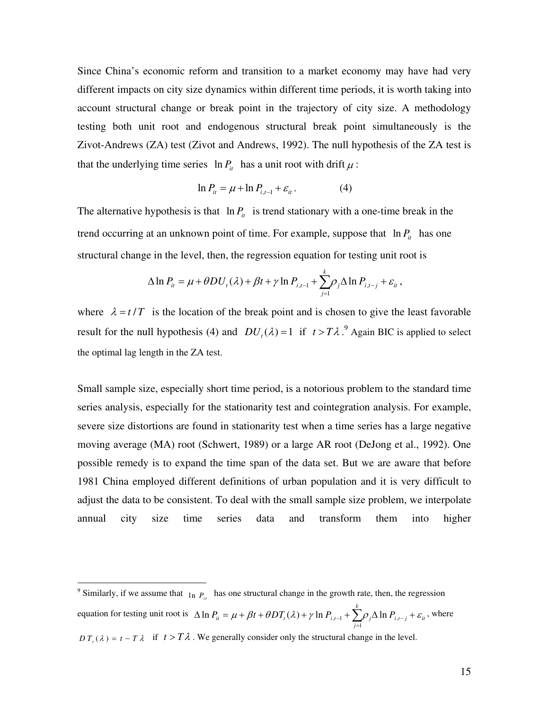Since China's economic reform and transition to a market economy may have had very different impacts on city size dynamics within different time periods, it is worth taking into account structural change or break point in the trajectory of city size. A methodology testing both unit root and endogenous structural break point simultaneously is the Zivot-Andrews (ZA) test (Zivot and Andrews, 1992). The null hypothesis of the ZA test is that the underlying time series  $\ln P_i$  has a unit root with drift  $\mu$ :

$$
\ln P_{it} = \mu + \ln P_{i,t-1} + \varepsilon_{it}.
$$
 (4)

The alternative hypothesis is that  $\ln P_i$  is trend stationary with a one-time break in the trend occurring at an unknown point of time. For example, suppose that  $\ln P_i$  has one structural change in the level, then, the regression equation for testing unit root is

$$
\Delta \ln P_{it} = \mu + \theta D U_t(\lambda) + \beta t + \gamma \ln P_{i,t-1} + \sum_{j=1}^k \rho_j \Delta \ln P_{i,t-j} + \varepsilon_{it},
$$

where  $\lambda = t/T$  is the location of the break point and is chosen to give the least favorable result for the null hypothesis (4) and  $DU_t(\lambda) = 1$  if  $t > T\lambda$ .<sup>9</sup> Again BIC is applied to select the optimal lag length in the ZA test.

Small sample size, especially short time period, is a notorious problem to the standard time series analysis, especially for the stationarity test and cointegration analysis. For example, severe size distortions are found in stationarity test when a time series has a large negative moving average (MA) root (Schwert, 1989) or a large AR root (DeJong et al., 1992). One possible remedy is to expand the time span of the data set. But we are aware that before 1981 China employed different definitions of urban population and it is very difficult to adjust the data to be consistent. To deal with the small sample size problem, we interpolate annual city size time series data and transform them into higher

<sup>&</sup>lt;sup>9</sup> Similarly, if we assume that  $\frac{1}{\ln P_i}$  has one structural change in the growth rate, then, the regression equation for testing unit root is  $\Delta \ln P_{it} = \mu + \beta t + \theta DT_t(\lambda) + \gamma \ln P_{i,t-1} + \sum_{j=1}^{\infty} \rho_j \Delta \ln P_{i,t}$  $\ln P_{it} = \mu + \beta t + \theta DT_{i}(\lambda) + \gamma \ln P_{i,t-1} + \sum_{i=1}^{k} \rho_{i} \Delta \ln \frac{P_{i}}{\sigma_{i}^{2}}$  $\sum_{it} \mu + \mu + \nu D I_t(\nu) + \gamma \ln I_{i,t-1} + \sum_{j=1}^{\infty} P_j \Delta \ln I_{i,t-j} + c_{it}$  $\Delta \ln P_{it} = \mu + \beta t + \theta DT_t(\lambda) + \gamma \ln P_{i,t-1} + \sum_{j=1}^{\infty} \rho_j \Delta \ln P_{i,t-j} + \varepsilon_{it}$ , where  $DT_t(\lambda) = t - T\lambda$  if  $t > T\lambda$ . We generally consider only the structural change in the level.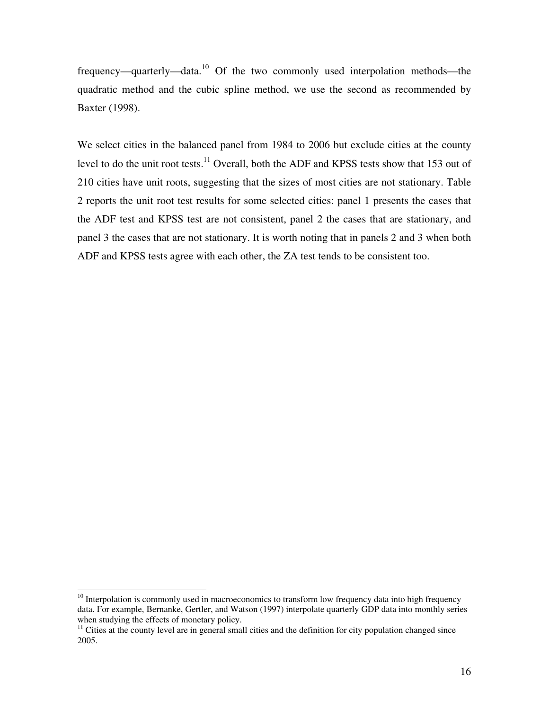frequency—quarterly—data.<sup>10</sup> Of the two commonly used interpolation methods—the quadratic method and the cubic spline method, we use the second as recommended by Baxter (1998).

We select cities in the balanced panel from 1984 to 2006 but exclude cities at the county level to do the unit root tests.<sup>11</sup> Overall, both the ADF and KPSS tests show that 153 out of 210 cities have unit roots, suggesting that the sizes of most cities are not stationary. Table 2 reports the unit root test results for some selected cities: panel 1 presents the cases that the ADF test and KPSS test are not consistent, panel 2 the cases that are stationary, and panel 3 the cases that are not stationary. It is worth noting that in panels 2 and 3 when both ADF and KPSS tests agree with each other, the ZA test tends to be consistent too.

 $\overline{a}$ 

<sup>&</sup>lt;sup>10</sup> Interpolation is commonly used in macroeconomics to transform low frequency data into high frequency data. For example, Bernanke, Gertler, and Watson (1997) interpolate quarterly GDP data into monthly series when studying the effects of monetary policy.

<sup>&</sup>lt;sup>11</sup> Cities at the county level are in general small cities and the definition for city population changed since 2005.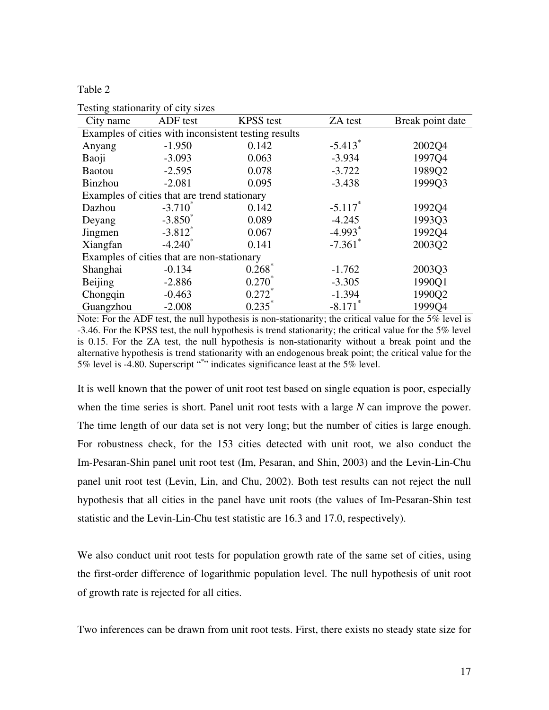Table 2

| ADF test                                             | <b>KPSS</b> test | ZA test               | Break point date |  |  |  |  |  |  |
|------------------------------------------------------|------------------|-----------------------|------------------|--|--|--|--|--|--|
| Examples of cities with inconsistent testing results |                  |                       |                  |  |  |  |  |  |  |
| $-1.950$                                             | 0.142            | $-5.413$ <sup>*</sup> | 2002Q4           |  |  |  |  |  |  |
| $-3.093$                                             | 0.063            | $-3.934$              | 1997Q4           |  |  |  |  |  |  |
| $-2.595$                                             | 0.078            | $-3.722$              | 1989Q2           |  |  |  |  |  |  |
| $-2.081$                                             | 0.095            | $-3.438$              | 1999Q3           |  |  |  |  |  |  |
| Examples of cities that are trend stationary         |                  |                       |                  |  |  |  |  |  |  |
| $-3.710^*$                                           | 0.142            | $-5.117$ *            | 1992Q4           |  |  |  |  |  |  |
| $-3.850^*$                                           | 0.089            | $-4.245$              | 1993Q3           |  |  |  |  |  |  |
| $-3.812$ <sup>*</sup>                                | 0.067            | $-4.993$ <sup>*</sup> | 1992Q4           |  |  |  |  |  |  |
| $-4.240^*$                                           | 0.141            | $-7.361$ <sup>*</sup> | 2003Q2           |  |  |  |  |  |  |
| Examples of cities that are non-stationary           |                  |                       |                  |  |  |  |  |  |  |
| $-0.134$                                             | 0.268            | $-1.762$              | 2003Q3           |  |  |  |  |  |  |
| $-2.886$                                             | $0.270^*$        | $-3.305$              | 1990Q1           |  |  |  |  |  |  |
| $-0.463$                                             | $0.272^*$        | $-1.394$              | 1990Q2           |  |  |  |  |  |  |
| $-2.008$                                             | $0.235^*$        | $-8.171$ <sup>*</sup> | 1999Q4           |  |  |  |  |  |  |
|                                                      |                  |                       |                  |  |  |  |  |  |  |

Testing stationarity of city sizes

Note: For the ADF test, the null hypothesis is non-stationarity; the critical value for the 5% level is -3.46. For the KPSS test, the null hypothesis is trend stationarity; the critical value for the 5% level is 0.15. For the ZA test, the null hypothesis is non-stationarity without a break point and the alternative hypothesis is trend stationarity with an endogenous break point; the critical value for the 5% level is -4.80. Superscript "\*" indicates significance least at the 5% level.

It is well known that the power of unit root test based on single equation is poor, especially when the time series is short. Panel unit root tests with a large *N* can improve the power. The time length of our data set is not very long; but the number of cities is large enough. For robustness check, for the 153 cities detected with unit root, we also conduct the Im-Pesaran-Shin panel unit root test (Im, Pesaran, and Shin, 2003) and the Levin-Lin-Chu panel unit root test (Levin, Lin, and Chu, 2002). Both test results can not reject the null hypothesis that all cities in the panel have unit roots (the values of Im-Pesaran-Shin test statistic and the Levin-Lin-Chu test statistic are 16.3 and 17.0, respectively).

We also conduct unit root tests for population growth rate of the same set of cities, using the first-order difference of logarithmic population level. The null hypothesis of unit root of growth rate is rejected for all cities.

Two inferences can be drawn from unit root tests. First, there exists no steady state size for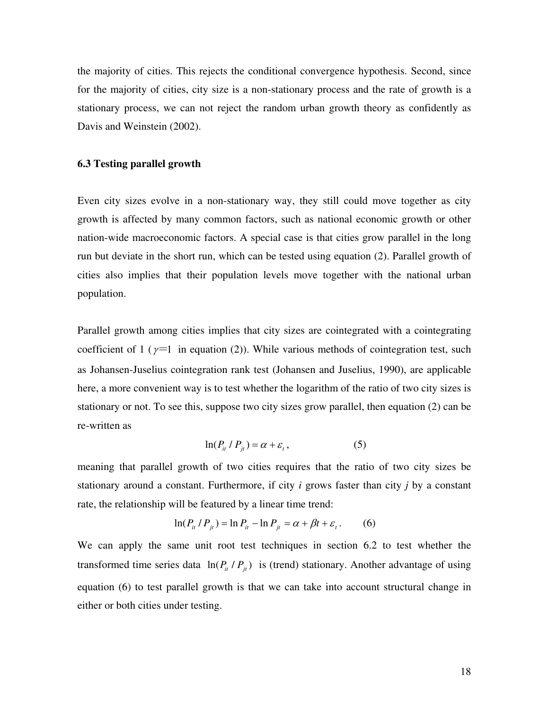the majority of cities. This rejects the conditional convergence hypothesis. Second, since for the majority of cities, city size is a non-stationary process and the rate of growth is a stationary process, we can not reject the random urban growth theory as confidently as Davis and Weinstein (2002).

#### **6.3 Testing parallel growth**

Even city sizes evolve in a non-stationary way, they still could move together as city growth is affected by many common factors, such as national economic growth or other nation-wide macroeconomic factors. A special case is that cities grow parallel in the long run but deviate in the short run, which can be tested using equation (2). Parallel growth of cities also implies that their population levels move together with the national urban population.

Parallel growth among cities implies that city sizes are cointegrated with a cointegrating coefficient of 1 ( $\gamma$ =1 in equation (2)). While various methods of cointegration test, such as Johansen-Juselius cointegration rank test (Johansen and Juselius, 1990), are applicable here, a more convenient way is to test whether the logarithm of the ratio of two city sizes is stationary or not. To see this, suppose two city sizes grow parallel, then equation (2) can be re-written as

$$
\ln(P_{it} \mid P_{jt}) = \alpha + \varepsilon_t, \tag{5}
$$

meaning that parallel growth of two cities requires that the ratio of two city sizes be stationary around a constant. Furthermore, if city *i* grows faster than city *j* by a constant rate, the relationship will be featured by a linear time trend:

$$
\ln(P_{it} / P_{jt}) = \ln P_{it} - \ln P_{jt} = \alpha + \beta t + \varepsilon_t.
$$
 (6)

We can apply the same unit root test techniques in section 6.2 to test whether the transformed time series data  $\ln(P_i / P_j)$  is (trend) stationary. Another advantage of using equation (6) to test parallel growth is that we can take into account structural change in either or both cities under testing.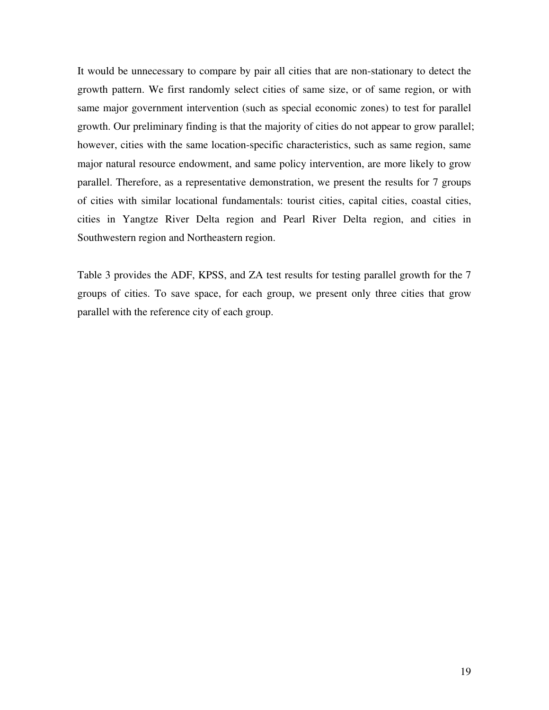It would be unnecessary to compare by pair all cities that are non-stationary to detect the growth pattern. We first randomly select cities of same size, or of same region, or with same major government intervention (such as special economic zones) to test for parallel growth. Our preliminary finding is that the majority of cities do not appear to grow parallel; however, cities with the same location-specific characteristics, such as same region, same major natural resource endowment, and same policy intervention, are more likely to grow parallel. Therefore, as a representative demonstration, we present the results for 7 groups of cities with similar locational fundamentals: tourist cities, capital cities, coastal cities, cities in Yangtze River Delta region and Pearl River Delta region, and cities in Southwestern region and Northeastern region.

Table 3 provides the ADF, KPSS, and ZA test results for testing parallel growth for the 7 groups of cities. To save space, for each group, we present only three cities that grow parallel with the reference city of each group.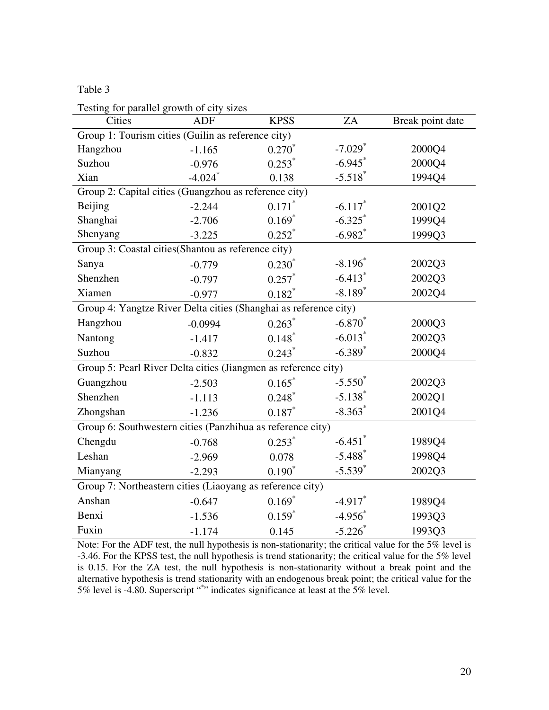### Table 3

| Testing for parallel growth of city sizes                        |                       |                      |                       |                  |  |  |  |  |  |
|------------------------------------------------------------------|-----------------------|----------------------|-----------------------|------------------|--|--|--|--|--|
| Cities                                                           | <b>ADF</b>            | <b>KPSS</b>          | ZA                    | Break point date |  |  |  |  |  |
| Group 1: Tourism cities (Guilin as reference city)               |                       |                      |                       |                  |  |  |  |  |  |
| Hangzhou                                                         | $-1.165$              | $0.270*$             | $-7.029$ <sup>*</sup> | 2000Q4           |  |  |  |  |  |
| Suzhou                                                           | $-0.976$              | 0.253                | $-6.945$              | 2000Q4           |  |  |  |  |  |
| Xian                                                             | $-4.024$ <sup>*</sup> | 0.138                | $-5.518$ <sup>*</sup> | 1994Q4           |  |  |  |  |  |
| Group 2: Capital cities (Guangzhou as reference city)            |                       |                      |                       |                  |  |  |  |  |  |
| Beijing                                                          | $-2.244$              | $0.171$ <sup>*</sup> | $-6.117$ <sup>*</sup> | 2001Q2           |  |  |  |  |  |
| Shanghai                                                         | $-2.706$              | $0.169*$             | $-6.325$              | 1999Q4           |  |  |  |  |  |
| Shenyang                                                         | $-3.225$              | $0.252$ <sup>*</sup> | $-6.982$ <sup>*</sup> | 1999Q3           |  |  |  |  |  |
| Group 3: Coastal cities (Shantou as reference city)              |                       |                      |                       |                  |  |  |  |  |  |
| Sanya                                                            | $-0.779$              | $0.230^{*}$          | $-8.196$ <sup>*</sup> | 2002Q3           |  |  |  |  |  |
| Shenzhen                                                         | $-0.797$              | $0.257$ *            | $-6.413$ <sup>*</sup> | 2002Q3           |  |  |  |  |  |
| Xiamen                                                           | $-0.977$              | $0.182*$             | $-8.189*$             | 2002Q4           |  |  |  |  |  |
| Group 4: Yangtze River Delta cities (Shanghai as reference city) |                       |                      |                       |                  |  |  |  |  |  |
| Hangzhou                                                         | $-0.0994$             | $0.263*$             | $-6.870^{*}$          | 2000Q3           |  |  |  |  |  |
| Nantong                                                          | $-1.417$              | $0.148*$             | $-6.013$ <sup>*</sup> | 2002Q3           |  |  |  |  |  |
| Suzhou                                                           | $-0.832$              | $0.243$ <sup>*</sup> | $-6.389$ <sup>*</sup> | 2000Q4           |  |  |  |  |  |
| Group 5: Pearl River Delta cities (Jiangmen as reference city)   |                       |                      |                       |                  |  |  |  |  |  |
| Guangzhou                                                        | $-2.503$              | $0.165*$             | $-5.550^*$            | 2002Q3           |  |  |  |  |  |
| Shenzhen                                                         | $-1.113$              | $0.248*$             | $-5.138$ <sup>*</sup> | 2002Q1           |  |  |  |  |  |
| Zhongshan                                                        | $-1.236$              | $0.187*$             | $-8.363$ <sup>*</sup> | 2001Q4           |  |  |  |  |  |
| Group 6: Southwestern cities (Panzhihua as reference city)       |                       |                      |                       |                  |  |  |  |  |  |
| Chengdu                                                          | $-0.768$              | $0.253*$             | $-6.451$              | 1989Q4           |  |  |  |  |  |
| Leshan                                                           | $-2.969$              | 0.078                | $-5.488$ <sup>*</sup> | 1998Q4           |  |  |  |  |  |
| Mianyang                                                         | $-2.293$              | $0.190*$             | $-5.539$ <sup>*</sup> | 2002Q3           |  |  |  |  |  |
| Group 7: Northeastern cities (Liaoyang as reference city)        |                       |                      |                       |                  |  |  |  |  |  |
| Anshan                                                           | $-0.647$              | $0.169*$             | $-4.917$              | 1989Q4           |  |  |  |  |  |
| Benxi                                                            | $-1.536$              | $0.159$ <sup>*</sup> | $-4.956$ <sup>*</sup> | 1993Q3           |  |  |  |  |  |
| Fuxin                                                            | $-1.174$              | 0.145                | $-5.226$              | 1993Q3           |  |  |  |  |  |

Note: For the ADF test, the null hypothesis is non-stationarity; the critical value for the 5% level is -3.46. For the KPSS test, the null hypothesis is trend stationarity; the critical value for the 5% level is 0.15. For the ZA test, the null hypothesis is non-stationarity without a break point and the alternative hypothesis is trend stationarity with an endogenous break point; the critical value for the 5% level is -4.80. Superscript "\*" indicates significance at least at the 5% level.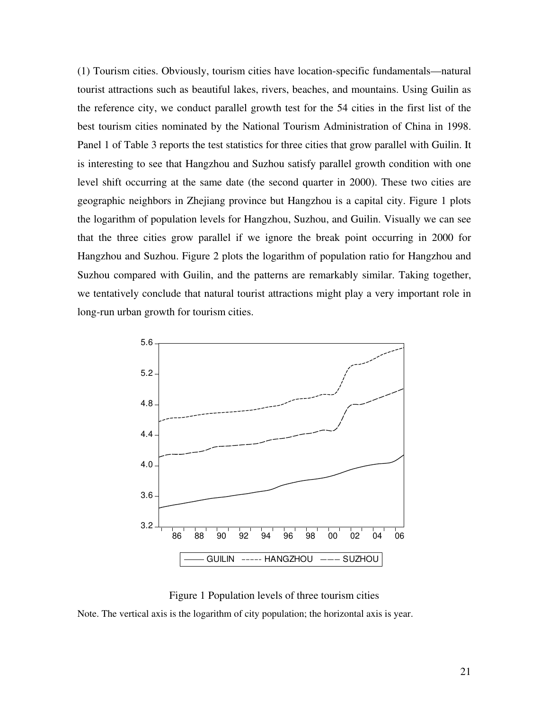(1) Tourism cities. Obviously, tourism cities have location-specific fundamentals—natural tourist attractions such as beautiful lakes, rivers, beaches, and mountains. Using Guilin as the reference city, we conduct parallel growth test for the 54 cities in the first list of the best tourism cities nominated by the National Tourism Administration of China in 1998. Panel 1 of Table 3 reports the test statistics for three cities that grow parallel with Guilin. It is interesting to see that Hangzhou and Suzhou satisfy parallel growth condition with one level shift occurring at the same date (the second quarter in 2000). These two cities are geographic neighbors in Zhejiang province but Hangzhou is a capital city. Figure 1 plots the logarithm of population levels for Hangzhou, Suzhou, and Guilin. Visually we can see that the three cities grow parallel if we ignore the break point occurring in 2000 for Hangzhou and Suzhou. Figure 2 plots the logarithm of population ratio for Hangzhou and Suzhou compared with Guilin, and the patterns are remarkably similar. Taking together, we tentatively conclude that natural tourist attractions might play a very important role in long-run urban growth for tourism cities.



Figure 1 Population levels of three tourism cities Note. The vertical axis is the logarithm of city population; the horizontal axis is year.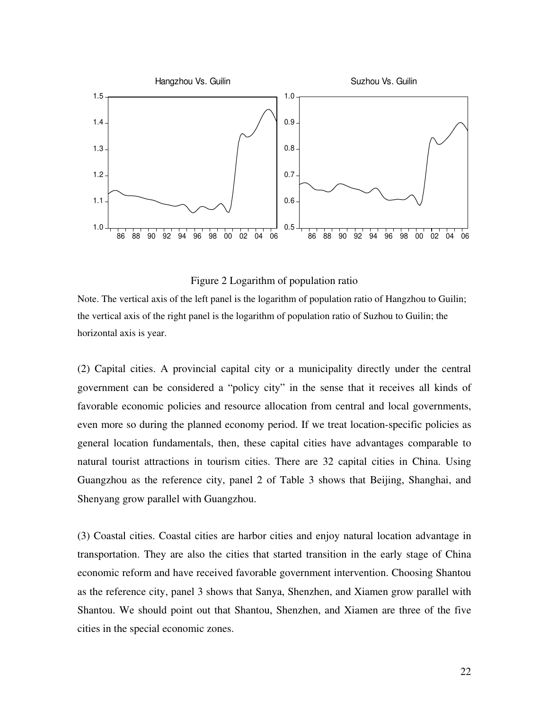

Figure 2 Logarithm of population ratio

Note. The vertical axis of the left panel is the logarithm of population ratio of Hangzhou to Guilin; the vertical axis of the right panel is the logarithm of population ratio of Suzhou to Guilin; the horizontal axis is year.

(2) Capital cities. A provincial capital city or a municipality directly under the central government can be considered a "policy city" in the sense that it receives all kinds of favorable economic policies and resource allocation from central and local governments, even more so during the planned economy period. If we treat location-specific policies as general location fundamentals, then, these capital cities have advantages comparable to natural tourist attractions in tourism cities. There are 32 capital cities in China. Using Guangzhou as the reference city, panel 2 of Table 3 shows that Beijing, Shanghai, and Shenyang grow parallel with Guangzhou.

(3) Coastal cities. Coastal cities are harbor cities and enjoy natural location advantage in transportation. They are also the cities that started transition in the early stage of China economic reform and have received favorable government intervention. Choosing Shantou as the reference city, panel 3 shows that Sanya, Shenzhen, and Xiamen grow parallel with Shantou. We should point out that Shantou, Shenzhen, and Xiamen are three of the five cities in the special economic zones.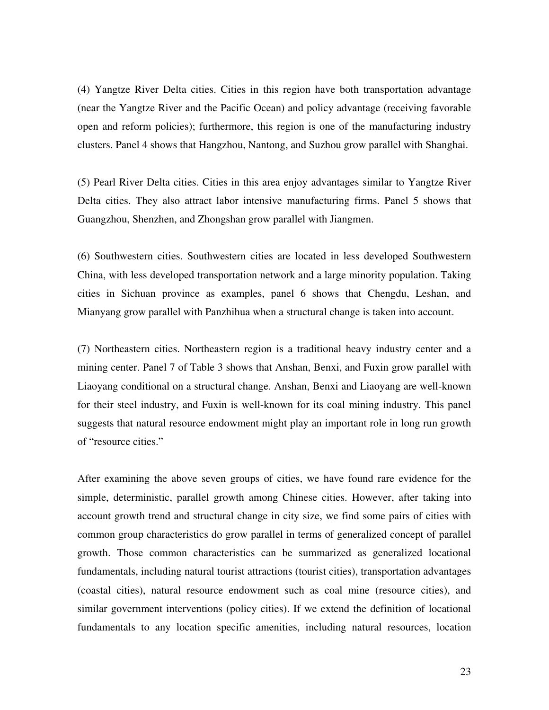(4) Yangtze River Delta cities. Cities in this region have both transportation advantage (near the Yangtze River and the Pacific Ocean) and policy advantage (receiving favorable open and reform policies); furthermore, this region is one of the manufacturing industry clusters. Panel 4 shows that Hangzhou, Nantong, and Suzhou grow parallel with Shanghai.

(5) Pearl River Delta cities. Cities in this area enjoy advantages similar to Yangtze River Delta cities. They also attract labor intensive manufacturing firms. Panel 5 shows that Guangzhou, Shenzhen, and Zhongshan grow parallel with Jiangmen.

(6) Southwestern cities. Southwestern cities are located in less developed Southwestern China, with less developed transportation network and a large minority population. Taking cities in Sichuan province as examples, panel 6 shows that Chengdu, Leshan, and Mianyang grow parallel with Panzhihua when a structural change is taken into account.

(7) Northeastern cities. Northeastern region is a traditional heavy industry center and a mining center. Panel 7 of Table 3 shows that Anshan, Benxi, and Fuxin grow parallel with Liaoyang conditional on a structural change. Anshan, Benxi and Liaoyang are well-known for their steel industry, and Fuxin is well-known for its coal mining industry. This panel suggests that natural resource endowment might play an important role in long run growth of "resource cities."

After examining the above seven groups of cities, we have found rare evidence for the simple, deterministic, parallel growth among Chinese cities. However, after taking into account growth trend and structural change in city size, we find some pairs of cities with common group characteristics do grow parallel in terms of generalized concept of parallel growth. Those common characteristics can be summarized as generalized locational fundamentals, including natural tourist attractions (tourist cities), transportation advantages (coastal cities), natural resource endowment such as coal mine (resource cities), and similar government interventions (policy cities). If we extend the definition of locational fundamentals to any location specific amenities, including natural resources, location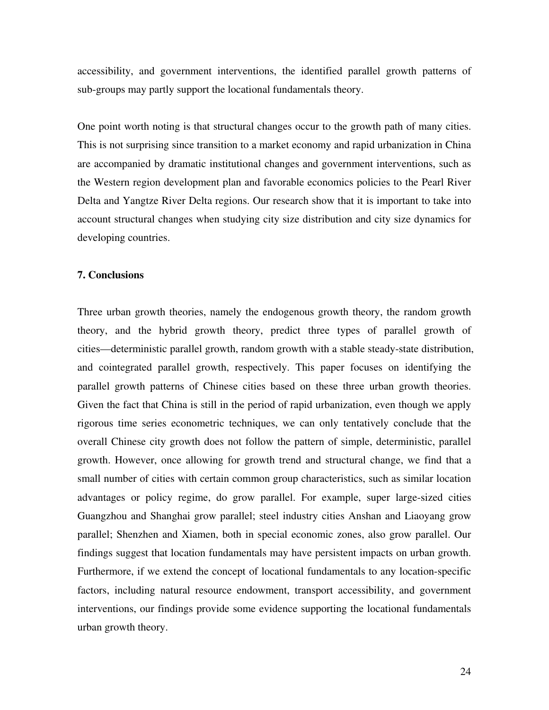accessibility, and government interventions, the identified parallel growth patterns of sub-groups may partly support the locational fundamentals theory.

One point worth noting is that structural changes occur to the growth path of many cities. This is not surprising since transition to a market economy and rapid urbanization in China are accompanied by dramatic institutional changes and government interventions, such as the Western region development plan and favorable economics policies to the Pearl River Delta and Yangtze River Delta regions. Our research show that it is important to take into account structural changes when studying city size distribution and city size dynamics for developing countries.

#### **7. Conclusions**

Three urban growth theories, namely the endogenous growth theory, the random growth theory, and the hybrid growth theory, predict three types of parallel growth of cities—deterministic parallel growth, random growth with a stable steady-state distribution, and cointegrated parallel growth, respectively. This paper focuses on identifying the parallel growth patterns of Chinese cities based on these three urban growth theories. Given the fact that China is still in the period of rapid urbanization, even though we apply rigorous time series econometric techniques, we can only tentatively conclude that the overall Chinese city growth does not follow the pattern of simple, deterministic, parallel growth. However, once allowing for growth trend and structural change, we find that a small number of cities with certain common group characteristics, such as similar location advantages or policy regime, do grow parallel. For example, super large-sized cities Guangzhou and Shanghai grow parallel; steel industry cities Anshan and Liaoyang grow parallel; Shenzhen and Xiamen, both in special economic zones, also grow parallel. Our findings suggest that location fundamentals may have persistent impacts on urban growth. Furthermore, if we extend the concept of locational fundamentals to any location-specific factors, including natural resource endowment, transport accessibility, and government interventions, our findings provide some evidence supporting the locational fundamentals urban growth theory.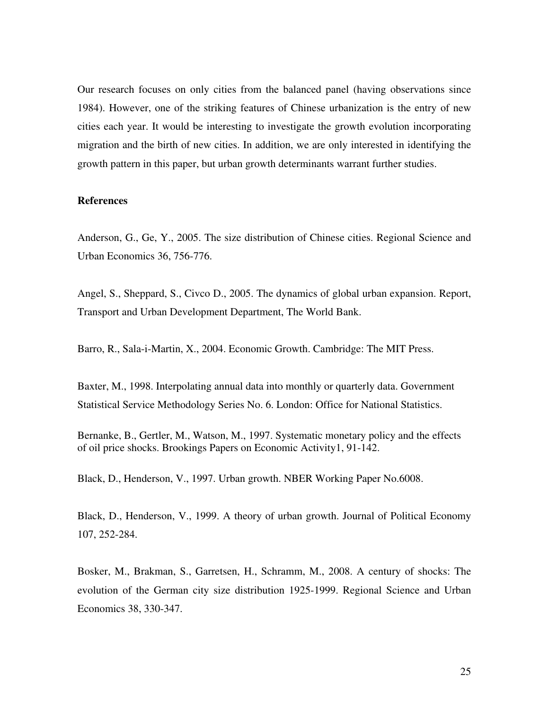Our research focuses on only cities from the balanced panel (having observations since 1984). However, one of the striking features of Chinese urbanization is the entry of new cities each year. It would be interesting to investigate the growth evolution incorporating migration and the birth of new cities. In addition, we are only interested in identifying the growth pattern in this paper, but urban growth determinants warrant further studies.

#### **References**

Anderson, G., Ge, Y., 2005. The size distribution of Chinese cities. Regional Science and Urban Economics 36, 756-776.

Angel, S., Sheppard, S., Civco D., 2005. The dynamics of global urban expansion. Report, Transport and Urban Development Department, The World Bank.

Barro, R., Sala-i-Martin, X., 2004. Economic Growth. Cambridge: The MIT Press.

Baxter, M., 1998. Interpolating annual data into monthly or quarterly data. Government Statistical Service Methodology Series No. 6. London: Office for National Statistics.

Bernanke, B., Gertler, M., Watson, M., 1997. Systematic monetary policy and the effects of oil price shocks. Brookings Papers on Economic Activity1, 91-142.

Black, D., Henderson, V., 1997. Urban growth. NBER Working Paper No.6008.

Black, D., Henderson, V., 1999. A theory of urban growth. Journal of Political Economy 107, 252-284.

Bosker, M., Brakman, S., Garretsen, H., Schramm, M., 2008. A century of shocks: The evolution of the German city size distribution 1925-1999. Regional Science and Urban Economics 38, 330-347.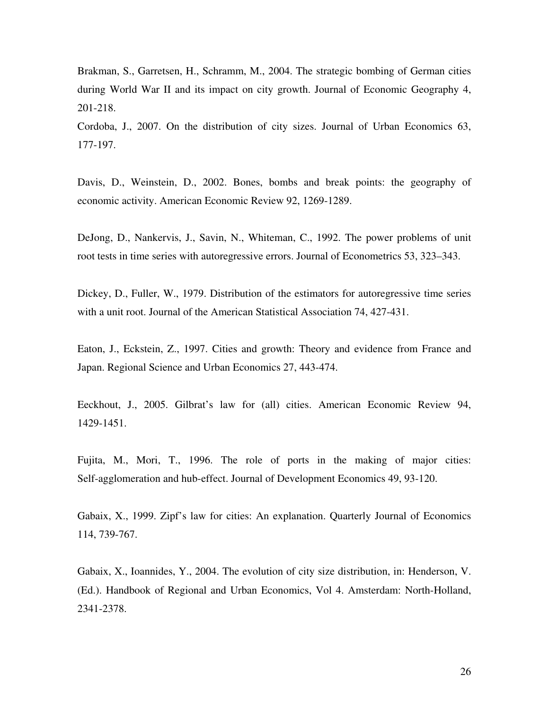Brakman, S., Garretsen, H., Schramm, M., 2004. The strategic bombing of German cities during World War II and its impact on city growth. Journal of Economic Geography 4, 201-218.

Cordoba, J., 2007. On the distribution of city sizes. Journal of Urban Economics 63, 177-197.

Davis, D., Weinstein, D., 2002. Bones, bombs and break points: the geography of economic activity. American Economic Review 92, 1269-1289.

DeJong, D., Nankervis, J., Savin, N., Whiteman, C., 1992. The power problems of unit root tests in time series with autoregressive errors. Journal of Econometrics 53, 323–343.

Dickey, D., Fuller, W., 1979. Distribution of the estimators for autoregressive time series with a unit root. Journal of the American Statistical Association 74, 427-431.

Eaton, J., Eckstein, Z., 1997. Cities and growth: Theory and evidence from France and Japan. Regional Science and Urban Economics 27, 443-474.

Eeckhout, J., 2005. Gilbrat's law for (all) cities. American Economic Review 94, 1429-1451.

Fujita, M., Mori, T., 1996. The role of ports in the making of major cities: Self-agglomeration and hub-effect. Journal of Development Economics 49, 93-120.

Gabaix, X., 1999. Zipf's law for cities: An explanation. Quarterly Journal of Economics 114, 739-767.

Gabaix, X., Ioannides, Y., 2004. The evolution of city size distribution, in: Henderson, V. (Ed.). Handbook of Regional and Urban Economics, Vol 4. Amsterdam: North-Holland, 2341-2378.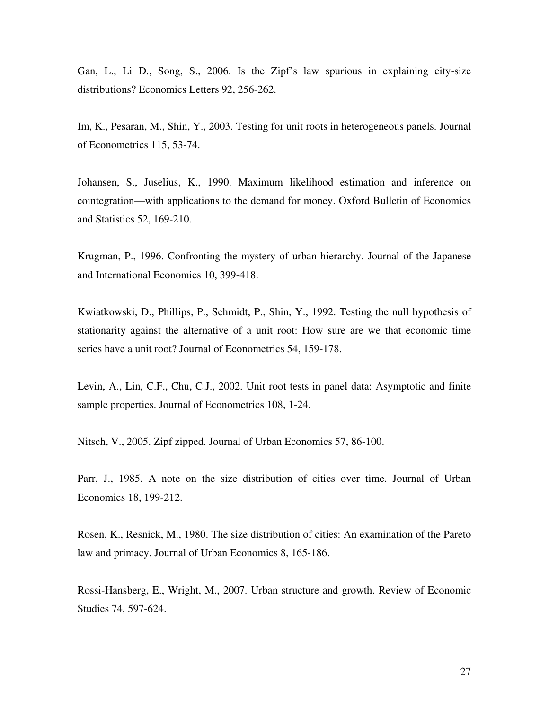Gan, L., Li D., Song, S., 2006. Is the Zipf's law spurious in explaining city-size distributions? Economics Letters 92, 256-262.

Im, K., Pesaran, M., Shin, Y., 2003. Testing for unit roots in heterogeneous panels. Journal of Econometrics 115, 53-74.

Johansen, S., Juselius, K., 1990. Maximum likelihood estimation and inference on cointegration—with applications to the demand for money. Oxford Bulletin of Economics and Statistics 52, 169-210.

Krugman, P., 1996. Confronting the mystery of urban hierarchy. Journal of the Japanese and International Economies 10, 399-418.

Kwiatkowski, D., Phillips, P., Schmidt, P., Shin, Y., 1992. Testing the null hypothesis of stationarity against the alternative of a unit root: How sure are we that economic time series have a unit root? Journal of Econometrics 54, 159-178.

Levin, A., Lin, C.F., Chu, C.J., 2002. Unit root tests in panel data: Asymptotic and finite sample properties. Journal of Econometrics 108, 1-24.

Nitsch, V., 2005. Zipf zipped. Journal of Urban Economics 57, 86-100.

Parr, J., 1985. A note on the size distribution of cities over time. Journal of Urban Economics 18, 199-212.

Rosen, K., Resnick, M., 1980. The size distribution of cities: An examination of the Pareto law and primacy. Journal of Urban Economics 8, 165-186.

Rossi-Hansberg, E., Wright, M., 2007. Urban structure and growth. Review of Economic Studies 74, 597-624.